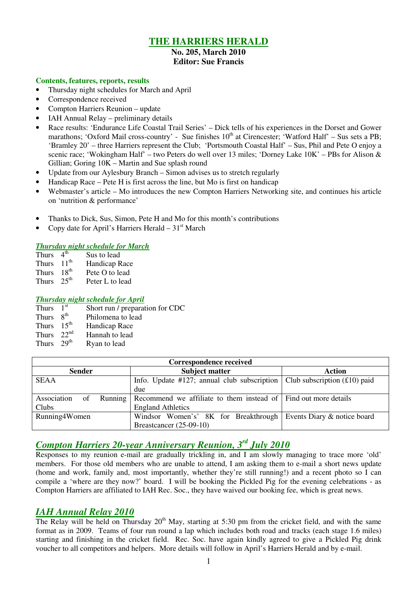# **THE HARRIERS HERALD**

### **No. 205, March 2010 Editor: Sue Francis**

### **Contents, features, reports, results**

- Thursday night schedules for March and April
- Correspondence received
- Compton Harriers Reunion update
- IAH Annual Relay preliminary details
- Race results: 'Endurance Life Coastal Trail Series' Dick tells of his experiences in the Dorset and Gower marathons; 'Oxford Mail cross-country' - Sue finishes 10<sup>th</sup> at Cirencester; 'Watford Half' – Sus sets a PB; 'Bramley 20' – three Harriers represent the Club; 'Portsmouth Coastal Half' – Sus, Phil and Pete O enjoy a scenic race; 'Wokingham Half' – two Peters do well over 13 miles; 'Dorney Lake 10K' – PBs for Alison & Gillian; Goring 10K – Martin and Sue splash round
- Update from our Aylesbury Branch Simon advises us to stretch regularly
- Handicap Race Pete H is first across the line, but Mo is first on handicap
- Webmaster's article Mo introduces the new Compton Harriers Networking site, and continues his article on 'nutrition & performance'
- Thanks to Dick, Sus, Simon, Pete H and Mo for this month's contributions
- Copy date for April's Harriers Herald  $31<sup>st</sup>$  March

### *Thursday night schedule for March*

| <b>Thurs</b> | 4 <sup>th</sup>  | Sus to lead     |
|--------------|------------------|-----------------|
| <b>Thurs</b> | $11^{th}$        | Handicap Race   |
| <b>Thurs</b> | $18^{th}$        | Pete O to lead  |
| <b>Thurs</b> | 25 <sup>th</sup> | Peter L to lead |

#### *Thursday night schedule for April*

| Thurs        | 1 <sup>st</sup>  | Short run / preparation for CDC |
|--------------|------------------|---------------------------------|
| Thurs        | $R^{th}$         | Philomena to lead               |
| Thurs        | 15 <sup>th</sup> | Handicap Race                   |
| Thurs $22nd$ |                  | Hannah to lead                  |
| Thurs $29th$ |                  | Ryan to lead                    |

| <b>Correspondence received</b> |                                                                              |                             |  |  |  |  |  |
|--------------------------------|------------------------------------------------------------------------------|-----------------------------|--|--|--|--|--|
| <b>Sender</b>                  | <b>Subject matter</b>                                                        | <b>Action</b>               |  |  |  |  |  |
| <b>SEAA</b>                    | Info. Update #127; annual club subscription   Club subscription $(£10)$ paid |                             |  |  |  |  |  |
|                                | due                                                                          |                             |  |  |  |  |  |
| Association<br>Running<br>of   | Recommend we affiliate to them instead of Find out more details              |                             |  |  |  |  |  |
| Clubs                          | <b>England Athletics</b>                                                     |                             |  |  |  |  |  |
| Running4Women                  | Windsor Women's' 8K for Breakthrough                                         | Events Diary & notice board |  |  |  |  |  |
|                                | Breastcancer $(25-09-10)$                                                    |                             |  |  |  |  |  |

# *Compton Harriers 20-year Anniversary Reunion, 3rd July 2010*

Responses to my reunion e-mail are gradually trickling in, and I am slowly managing to trace more 'old' members. For those old members who are unable to attend, I am asking them to e-mail a short news update (home and work, family and, most importantly, whether they're still running!) and a recent photo so I can compile a 'where are they now?' board. I will be booking the Pickled Pig for the evening celebrations - as Compton Harriers are affiliated to IAH Rec. Soc., they have waived our booking fee, which is great news.

## *IAH Annual Relay 2010*

The Relay will be held on Thursday  $20<sup>th</sup>$  May, starting at 5:30 pm from the cricket field, and with the same format as in 2009. Teams of four run round a lap which includes both road and tracks (each stage 1.6 miles) starting and finishing in the cricket field. Rec. Soc. have again kindly agreed to give a Pickled Pig drink voucher to all competitors and helpers. More details will follow in April's Harriers Herald and by e-mail.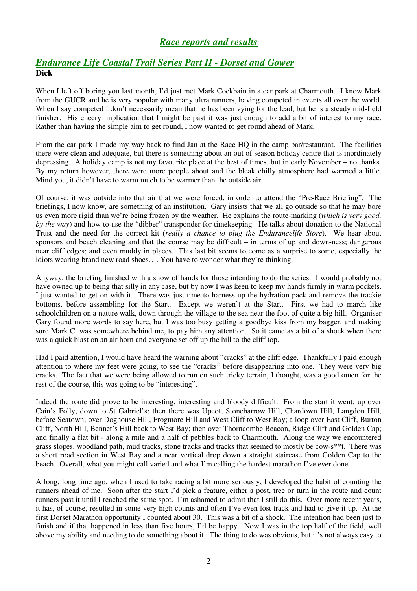# *Race reports and results*

# *Endurance Life Coastal Trail Series Part II - Dorset and Gower* **Dick**

When I left off boring you last month, I'd just met Mark Cockbain in a car park at Charmouth. I know Mark from the GUCR and he is very popular with many ultra runners, having competed in events all over the world. When I say competed I don't necessarily mean that he has been vying for the lead, but he is a steady mid-field finisher. His cheery implication that I might be past it was just enough to add a bit of interest to my race. Rather than having the simple aim to get round, I now wanted to get round ahead of Mark.

From the car park I made my way back to find Jan at the Race HQ in the camp bar/restaurant. The facilities there were clean and adequate, but there is something about an out of season holiday centre that is inordinately depressing. A holiday camp is not my favourite place at the best of times, but in early November – no thanks. By my return however, there were more people about and the bleak chilly atmosphere had warmed a little. Mind you, it didn't have to warm much to be warmer than the outside air.

Of course, it was outside into that air that we were forced, in order to attend the "Pre-Race Briefing". The briefings, I now know, are something of an institution. Gary insists that we all go outside so that he may bore us even more rigid than we're being frozen by the weather. He explains the route-marking (*which is very good, by the way*) and how to use the "dibber" transponder for timekeeping. He talks about donation to the National Trust and the need for the correct kit (*really a chance to plug the Endurancelife Store*). We hear about sponsors and beach cleaning and that the course may be difficult – in terms of up and down-ness; dangerous near cliff edges; and even muddy in places. This last bit seems to come as a surprise to some, especially the idiots wearing brand new road shoes…. You have to wonder what they're thinking.

Anyway, the briefing finished with a show of hands for those intending to do the series. I would probably not have owned up to being that silly in any case, but by now I was keen to keep my hands firmly in warm pockets. I just wanted to get on with it. There was just time to harness up the hydration pack and remove the trackie bottoms, before assembling for the Start. Except we weren't at the Start. First we had to march like schoolchildren on a nature walk, down through the village to the sea near the foot of quite a big hill. Organiser Gary found more words to say here, but I was too busy getting a goodbye kiss from my bagger, and making sure Mark C. was somewhere behind me, to pay him any attention. So it came as a bit of a shock when there was a quick blast on an air horn and everyone set off up the hill to the cliff top.

Had I paid attention, I would have heard the warning about "cracks" at the cliff edge. Thankfully I paid enough attention to where my feet were going, to see the "cracks" before disappearing into one. They were very big cracks. The fact that we were being allowed to run on such tricky terrain, I thought, was a good omen for the rest of the course, this was going to be "interesting".

Indeed the route did prove to be interesting, interesting and bloody difficult. From the start it went: up over Cain's Folly, down to St Gabriel's; then there was Upcot, Stonebarrow Hill, Chardown Hill, Langdon Hill, before Seatown; over Doghouse Hill, Frogmore Hill and West Cliff to West Bay; a loop over East Cliff, Burton Cliff, North Hill, Bennet's Hill back to West Bay; then over Thorncombe Beacon, Ridge Cliff and Golden Cap; and finally a flat bit - along a mile and a half of pebbles back to Charmouth. Along the way we encountered grass slopes, woodland path, mud tracks, stone tracks and tracks that seemed to mostly be cow-s\*\*t. There was a short road section in West Bay and a near vertical drop down a straight staircase from Golden Cap to the beach. Overall, what you might call varied and what I'm calling the hardest marathon I've ever done.

A long, long time ago, when I used to take racing a bit more seriously, I developed the habit of counting the runners ahead of me. Soon after the start I'd pick a feature, either a post, tree or turn in the route and count runners past it until I reached the same spot. I'm ashamed to admit that I still do this. Over more recent years, it has, of course, resulted in some very high counts and often I've even lost track and had to give it up. At the first Dorset Marathon opportunity I counted about 30. This was a bit of a shock. The intention had been just to finish and if that happened in less than five hours, I'd be happy. Now I was in the top half of the field, well above my ability and needing to do something about it. The thing to do was obvious, but it's not always easy to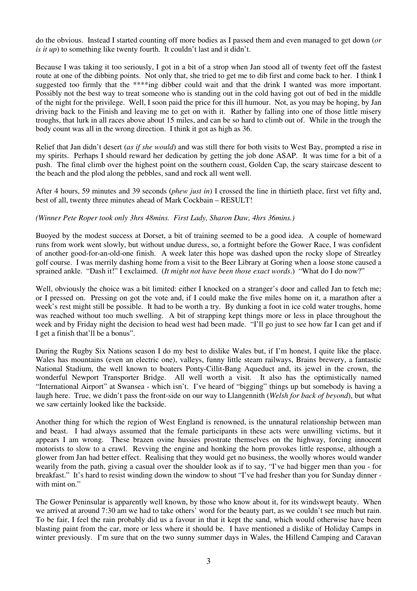do the obvious. Instead I started counting off more bodies as I passed them and even managed to get down (*or is it up*) to something like twenty fourth. It couldn't last and it didn't.

Because I was taking it too seriously, I got in a bit of a strop when Jan stood all of twenty feet off the fastest route at one of the dibbing points. Not only that, she tried to get me to dib first and come back to her. I think I suggested too firmly that the \*\*\*\*ing dibber could wait and that the drink I wanted was more important. Possibly not the best way to treat someone who is standing out in the cold having got out of bed in the middle of the night for the privilege. Well, I soon paid the price for this ill humour. Not, as you may be hoping, by Jan driving back to the Finish and leaving me to get on with it. Rather by falling into one of those little misery troughs, that lurk in all races above about 15 miles, and can be so hard to climb out of. While in the trough the body count was all in the wrong direction. I think it got as high as 36.

Relief that Jan didn't desert (*as if she would*) and was still there for both visits to West Bay, prompted a rise in my spirits. Perhaps I should reward her dedication by getting the job done ASAP. It was time for a bit of a push. The final climb over the highest point on the southern coast, Golden Cap, the scary staircase descent to the beach and the plod along the pebbles, sand and rock all went well.

After 4 hours, 59 minutes and 39 seconds (*phew just in*) I crossed the line in thirtieth place, first vet fifty and, best of all, twenty three minutes ahead of Mark Cockbain – RESULT!

#### *(Winner Pete Roper took only 3hrs 48mins. First Lady, Sharon Daw, 4hrs 36mins.)*

Buoyed by the modest success at Dorset, a bit of training seemed to be a good idea. A couple of homeward runs from work went slowly, but without undue duress, so, a fortnight before the Gower Race, I was confident of another good-for-an-old-one finish. A week later this hope was dashed upon the rocky slope of Streatley golf course. I was merrily dashing home from a visit to the Beer Library at Goring when a loose stone caused a sprained ankle. "Dash it!" I exclaimed. (*It might not have been those exact words*.) "What do I do now?"

Well, obviously the choice was a bit limited: either I knocked on a stranger's door and called Jan to fetch me; or I pressed on. Pressing on got the vote and, if I could make the five miles home on it, a marathon after a week's rest might still be possible. It had to be worth a try. By dunking a foot in ice cold water troughs, home was reached without too much swelling. A bit of strapping kept things more or less in place throughout the week and by Friday night the decision to head west had been made. "I'll go just to see how far I can get and if I get a finish that'll be a bonus".

During the Rugby Six Nations season I do my best to dislike Wales but, if I'm honest, I quite like the place. Wales has mountains (even an electric one), valleys, funny little steam railways, Brains brewery, a fantastic National Stadium, the well known to boaters Ponty-Cillit-Bang Aqueduct and, its jewel in the crown, the wonderful Newport Transporter Bridge. All well worth a visit. It also has the optimistically named "International Airport" at Swansea - which isn't. I've heard of "bigging" things up but somebody is having a laugh here. True, we didn't pass the front-side on our way to Llangennith (*Welsh for back of beyond*), but what we saw certainly looked like the backside.

Another thing for which the region of West England is renowned, is the unnatural relationship between man and beast. I had always assumed that the female participants in these acts were unwilling victims, but it appears I am wrong. These brazen ovine hussies prostrate themselves on the highway, forcing innocent motorists to slow to a crawl. Revving the engine and honking the horn provokes little response, although a glower from Jan had better effect. Realising that they would get no business, the woolly whores would wander wearily from the path, giving a casual over the shoulder look as if to say, "I've had bigger men than you - for breakfast." It's hard to resist winding down the window to shout "I've had fresher than you for Sunday dinner with mint on."

The Gower Peninsular is apparently well known, by those who know about it, for its windswept beauty. When we arrived at around 7:30 am we had to take others' word for the beauty part, as we couldn't see much but rain. To be fair, I feel the rain probably did us a favour in that it kept the sand, which would otherwise have been blasting paint from the car, more or less where it should be. I have mentioned a dislike of Holiday Camps in winter previously. I'm sure that on the two sunny summer days in Wales, the Hillend Camping and Caravan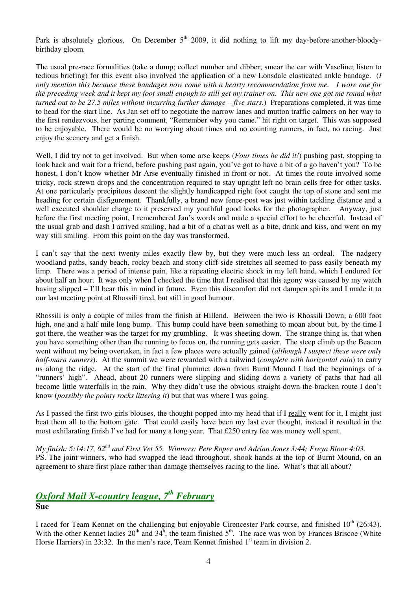Park is absolutely glorious. On December  $5<sup>th</sup>$  2009, it did nothing to lift my day-before-another-bloodybirthday gloom.

The usual pre-race formalities (take a dump; collect number and dibber; smear the car with Vaseline; listen to tedious briefing) for this event also involved the application of a new Lonsdale elasticated ankle bandage. (*I only mention this because these bandages now come with a hearty recommendation from me. I wore one for the preceding week and it kept my foot small enough to still get my trainer on. This new one got me round what turned out to be 27.5 miles without incurring further damage – five stars.*) Preparations completed, it was time to head for the start line. As Jan set off to negotiate the narrow lanes and mutton traffic calmers on her way to the first rendezvous, her parting comment, "Remember why you came." hit right on target. This was supposed to be enjoyable. There would be no worrying about times and no counting runners, in fact, no racing. Just enjoy the scenery and get a finish.

Well, I did try not to get involved. But when some arse keeps (*Four times he did it!*) pushing past, stopping to look back and wait for a friend, before pushing past again, you've got to have a bit of a go haven't you? To be honest, I don't know whether Mr Arse eventually finished in front or not. At times the route involved some tricky, rock strewn drops and the concentration required to stay upright left no brain cells free for other tasks. At one particularly precipitous descent the slightly handicapped right foot caught the top of stone and sent me heading for certain disfigurement. Thankfully, a brand new fence-post was just within tackling distance and a well executed shoulder charge to it preserved my youthful good looks for the photographer. Anyway, just before the first meeting point, I remembered Jan's words and made a special effort to be cheerful. Instead of the usual grab and dash I arrived smiling, had a bit of a chat as well as a bite, drink and kiss, and went on my way still smiling. From this point on the day was transformed.

I can't say that the next twenty miles exactly flew by, but they were much less an ordeal. The nadgery woodland paths, sandy beach, rocky beach and stony cliff-side stretches all seemed to pass easily beneath my limp. There was a period of intense pain, like a repeating electric shock in my left hand, which I endured for about half an hour. It was only when I checked the time that I realised that this agony was caused by my watch having slipped – I'll bear this in mind in future. Even this discomfort did not dampen spirits and I made it to our last meeting point at Rhossili tired, but still in good humour.

Rhossili is only a couple of miles from the finish at Hillend. Between the two is Rhossili Down, a 600 foot high, one and a half mile long bump. This bump could have been something to moan about but, by the time I got there, the weather was the target for my grumbling. It was sheeting down. The strange thing is, that when you have something other than the running to focus on, the running gets easier. The steep climb up the Beacon went without my being overtaken, in fact a few places were actually gained (*although I suspect these were only half-mara runners*). At the summit we were rewarded with a tailwind (*complete with horizontal rain*) to carry us along the ridge. At the start of the final plummet down from Burnt Mound I had the beginnings of a "runners' high". Ahead, about 20 runners were slipping and sliding down a variety of paths that had all become little waterfalls in the rain. Why they didn't use the obvious straight-down-the-bracken route I don't know (*possibly the pointy rocks littering it*) but that was where I was going.

As I passed the first two girls blouses, the thought popped into my head that if I really went for it, I might just beat them all to the bottom gate. That could easily have been my last ever thought, instead it resulted in the most exhilarating finish I've had for many a long year. That £250 entry fee was money well spent.

*My finish: 5:14:17, 62nd and First Vet 55. Winners: Pete Roper and Adrian Jones 3:44; Freya Bloor 4:03.*  PS. The joint winners, who had swapped the lead throughout, shook hands at the top of Burnt Mound, on an agreement to share first place rather than damage themselves racing to the line. What's that all about?

## *Oxford Mail X-country league, 7th February* **Sue**

I raced for Team Kennet on the challenging but enjoyable Cirencester Park course, and finished  $10^{th}$  (26:43). With the other Kennet ladies  $20^{th}$  and  $34^{h}$ , the team finished  $5^{th}$ . The race was won by Frances Briscoe (White Horse Harriers) in 23:32. In the men's race, Team Kennet finished  $1<sup>st</sup>$  team in division 2.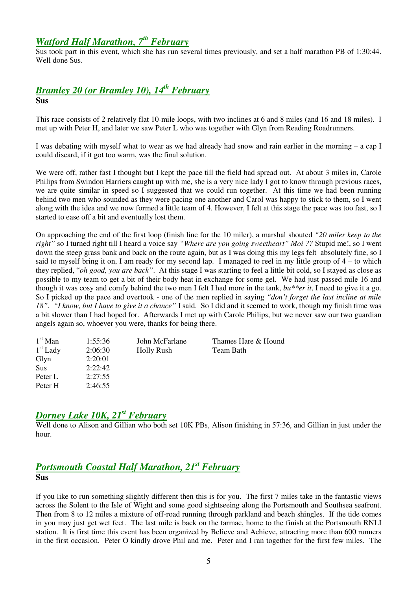# *Watford Half Marathon, 7th February*

Sus took part in this event, which she has run several times previously, and set a half marathon PB of 1:30:44. Well done Sus.

# *Bramley 20 (or Bramley 10), 14th February* **Sus**

This race consists of 2 relatively flat 10-mile loops, with two inclines at 6 and 8 miles (and 16 and 18 miles). I met up with Peter H, and later we saw Peter L who was together with Glyn from Reading Roadrunners.

I was debating with myself what to wear as we had already had snow and rain earlier in the morning – a cap I could discard, if it got too warm, was the final solution.

We were off, rather fast I thought but I kept the pace till the field had spread out. At about 3 miles in, Carole Philips from Swindon Harriers caught up with me, she is a very nice lady I got to know through previous races, we are quite similar in speed so I suggested that we could run together. At this time we had been running behind two men who sounded as they were pacing one another and Carol was happy to stick to them, so I went along with the idea and we now formed a little team of 4. However, I felt at this stage the pace was too fast, so I started to ease off a bit and eventually lost them.

On approaching the end of the first loop (finish line for the 10 miler), a marshal shouted *"20 miler keep to the right"* so I turned right till I heard a voice say *"Where are you going sweetheart" Moi ??* Stupid me!, so I went down the steep grass bank and back on the route again, but as I was doing this my legs felt absolutely fine, so I said to myself bring it on, I am ready for my second lap. I managed to reel in my little group of 4 – to which they replied, "*oh good, you are back"*. At this stage I was starting to feel a little bit cold, so I stayed as close as possible to my team to get a bit of their body heat in exchange for some gel. We had just passed mile 16 and though it was cosy and comfy behind the two men I felt I had more in the tank, *bu\*\*er it*, I need to give it a go. So I picked up the pace and overtook - one of the men replied in saying *"don't forget the last incline at mile 18". "I know, but I have to give it a chance"* I said. So I did and it seemed to work, though my finish time was a bit slower than I had hoped for. Afterwards I met up with Carole Philips, but we never saw our two guardian angels again so, whoever you were, thanks for being there.

| $1st$ Man  | 1:55:36 | John McFarlane    | Thames Hare & Hound |
|------------|---------|-------------------|---------------------|
| $1st$ Lady | 2:06:30 | <b>Holly Rush</b> | Team Bath           |
| Glyn       | 2:20:01 |                   |                     |
| Sus        | 2:22:42 |                   |                     |
| Peter L    | 2:27:55 |                   |                     |
| Peter H    | 2:46:55 |                   |                     |

# *Dorney Lake 10K, 21st February*

Well done to Alison and Gillian who both set 10K PBs, Alison finishing in 57:36, and Gillian in just under the hour.

## *Portsmouth Coastal Half Marathon, 21st February* **Sus**

If you like to run something slightly different then this is for you. The first 7 miles take in the fantastic views across the Solent to the Isle of Wight and some good sightseeing along the Portsmouth and Southsea seafront. Then from 8 to 12 miles a mixture of off-road running through parkland and beach shingles. If the tide comes in you may just get wet feet. The last mile is back on the tarmac, home to the finish at the Portsmouth RNLI station. It is first time this event has been organized by Believe and Achieve, attracting more than 600 runners in the first occasion. Peter O kindly drove Phil and me. Peter and I ran together for the first few miles. The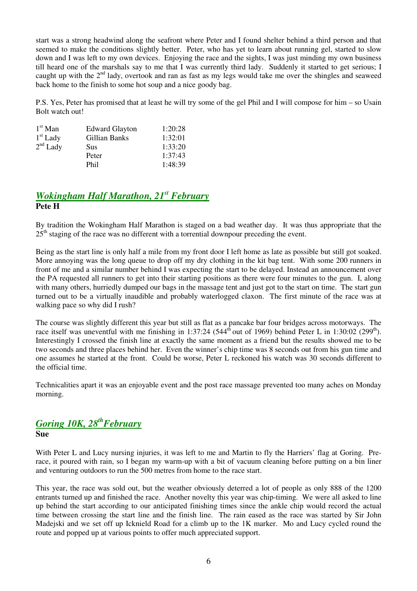start was a strong headwind along the seafront where Peter and I found shelter behind a third person and that seemed to make the conditions slightly better. Peter, who has yet to learn about running gel, started to slow down and I was left to my own devices. Enjoying the race and the sights, I was just minding my own business till heard one of the marshals say to me that I was currently third lady. Suddenly it started to get serious; I caught up with the 2<sup>nd</sup> lady, overtook and ran as fast as my legs would take me over the shingles and seaweed back home to the finish to some hot soup and a nice goody bag.

P.S. Yes, Peter has promised that at least he will try some of the gel Phil and I will compose for him – so Usain Bolt watch out!

| $1st$ Man  | <b>Edward Glayton</b> | 1:20:28 |
|------------|-----------------------|---------|
| $1st$ Lady | Gillian Banks         | 1:32:01 |
| $2nd$ Lady | Sus                   | 1:33:20 |
|            | Peter                 | 1:37:43 |
|            | Phil                  | 1:48:39 |

## *Wokingham Half Marathon, 21st February* **Pete H**

By tradition the Wokingham Half Marathon is staged on a bad weather day. It was thus appropriate that the  $25<sup>th</sup>$  staging of the race was no different with a torrential downpour preceding the event.

Being as the start line is only half a mile from my front door I left home as late as possible but still got soaked. More annoying was the long queue to drop off my dry clothing in the kit bag tent. With some 200 runners in front of me and a similar number behind I was expecting the start to be delayed. Instead an announcement over the PA requested all runners to get into their starting positions as there were four minutes to the gun. I, along with many others, hurriedly dumped our bags in the massage tent and just got to the start on time. The start gun turned out to be a virtually inaudible and probably waterlogged claxon. The first minute of the race was at walking pace so why did I rush?

The course was slightly different this year but still as flat as a pancake bar four bridges across motorways. The race itself was uneventful with me finishing in 1:37:24 (544<sup>th</sup> out of 1969) behind Peter L in 1:30:02 (299<sup>th</sup>). Interestingly I crossed the finish line at exactly the same moment as a friend but the results showed me to be two seconds and three places behind her. Even the winner's chip time was 8 seconds out from his gun time and one assumes he started at the front. Could be worse, Peter L reckoned his watch was 30 seconds different to the official time.

Technicalities apart it was an enjoyable event and the post race massage prevented too many aches on Monday morning.

## *Goring 10K, 28thFebruary* **Sue**

With Peter L and Lucy nursing injuries, it was left to me and Martin to fly the Harriers' flag at Goring. Prerace, it poured with rain, so I began my warm-up with a bit of vacuum cleaning before putting on a bin liner and venturing outdoors to run the 500 metres from home to the race start.

This year, the race was sold out, but the weather obviously deterred a lot of people as only 888 of the 1200 entrants turned up and finished the race. Another novelty this year was chip-timing. We were all asked to line up behind the start according to our anticipated finishing times since the ankle chip would record the actual time between crossing the start line and the finish line. The rain eased as the race was started by Sir John Madejski and we set off up Icknield Road for a climb up to the 1K marker. Mo and Lucy cycled round the route and popped up at various points to offer much appreciated support.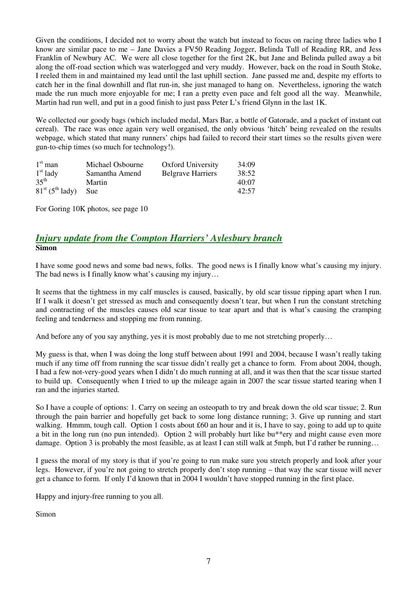Given the conditions, I decided not to worry about the watch but instead to focus on racing three ladies who I know are similar pace to me – Jane Davies a FV50 Reading Jogger, Belinda Tull of Reading RR, and Jess Franklin of Newbury AC. We were all close together for the first 2K, but Jane and Belinda pulled away a bit along the off-road section which was waterlogged and very muddy. However, back on the road in South Stoke, I reeled them in and maintained my lead until the last uphill section. Jane passed me and, despite my efforts to catch her in the final downhill and flat run-in, she just managed to hang on. Nevertheless, ignoring the watch made the run much more enjoyable for me; I ran a pretty even pace and felt good all the way. Meanwhile, Martin had run well, and put in a good finish to just pass Peter L's friend Glynn in the last 1K.

We collected our goody bags (which included medal, Mars Bar, a bottle of Gatorade, and a packet of instant oat cereal). The race was once again very well organised, the only obvious 'hitch' being revealed on the results webpage, which stated that many runners' chips had failed to record their start times so the results given were gun-to-chip times (so much for technology!).

| $1st$ man                     | Michael Osbourne | <b>Oxford University</b> | 34:09 |
|-------------------------------|------------------|--------------------------|-------|
| $1st$ lady                    | Samantha Amend   | <b>Belgrave Harriers</b> | 38:52 |
| $35^{th}$                     | Martin           |                          | 40:07 |
| $81st$ (5 <sup>th</sup> lady) | Sue:             |                          | 42:57 |

For Goring 10K photos, see page 10

### *Injury update from the Compton Harriers' Aylesbury branch* **Simon**

I have some good news and some bad news, folks. The good news is I finally know what's causing my injury. The bad news is I finally know what's causing my injury...

It seems that the tightness in my calf muscles is caused, basically, by old scar tissue ripping apart when I run. If I walk it doesn't get stressed as much and consequently doesn't tear, but when I run the constant stretching and contracting of the muscles causes old scar tissue to tear apart and that is what's causing the cramping feeling and tenderness and stopping me from running.

And before any of you say anything, yes it is most probably due to me not stretching properly...

My guess is that, when I was doing the long stuff between about 1991 and 2004, because I wasn't really taking much if any time off from running the scar tissue didn't really get a chance to form. From about 2004, though, I had a few not-very-good years when I didn't do much running at all, and it was then that the scar tissue started to build up. Consequently when I tried to up the mileage again in 2007 the scar tissue started tearing when I ran and the injuries started.

So I have a couple of options: 1. Carry on seeing an osteopath to try and break down the old scar tissue; 2. Run through the pain barrier and hopefully get back to some long distance running; 3. Give up running and start walking. Hmmm, tough call. Option 1 costs about £60 an hour and it is, I have to say, going to add up to quite a bit in the long run (no pun intended). Option 2 will probably hurt like bu\*\*ery and might cause even more damage. Option 3 is probably the most feasible, as at least I can still walk at 5mph, but I'd rather be running...

I guess the moral of my story is that if you're going to run make sure you stretch properly and look after your legs. However, if you're not going to stretch properly don't stop running – that way the scar tissue will never get a chance to form. If only I'd known that in 2004 I wouldn't have stopped running in the first place.

Happy and injury-free running to you all.

Simon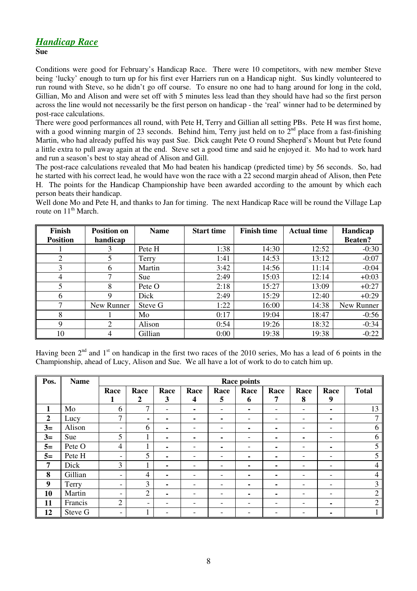## *Handicap Race*

**Sue** 

Conditions were good for February's Handicap Race. There were 10 competitors, with new member Steve being 'lucky' enough to turn up for his first ever Harriers run on a Handicap night. Sus kindly volunteered to run round with Steve, so he didn't go off course. To ensure no one had to hang around for long in the cold, Gillian, Mo and Alison and were set off with 5 minutes less lead than they should have had so the first person across the line would not necessarily be the first person on handicap - the 'real' winner had to be determined by post-race calculations.

There were good performances all round, with Pete H, Terry and Gillian all setting PBs. Pete H was first home, with a good winning margin of 23 seconds. Behind him, Terry just held on to  $2^{nd}$  place from a fast-finishing Martin, who had already puffed his way past Sue. Dick caught Pete O round Shepherd's Mount but Pete found a little extra to pull away again at the end. Steve set a good time and said he enjoyed it. Mo had to work hard and run a season's best to stay ahead of Alison and Gill.

The post-race calculations revealed that Mo had beaten his handicap (predicted time) by 56 seconds. So, had he started with his correct lead, he would have won the race with a 22 second margin ahead of Alison, then Pete H. The points for the Handicap Championship have been awarded according to the amount by which each person beats their handicap.

Well done Mo and Pete H, and thanks to Jan for timing. The next Handicap Race will be round the Village Lap route on  $11<sup>th</sup>$  March.

| <b>Finish</b>   | <b>Position on</b> | <b>Name</b> | <b>Start time</b> | <b>Finish time</b> | <b>Actual time</b> | Handicap       |
|-----------------|--------------------|-------------|-------------------|--------------------|--------------------|----------------|
| <b>Position</b> | handicap           |             |                   |                    |                    | <b>Beaten?</b> |
|                 | 3                  | Pete H      | 1:38              | 14:30              | 12:52              | $-0:30$        |
| ↑               |                    | Terry       | 1:41              | 14:53              | 13:12              | $-0:07$        |
| 3               | 6                  | Martin      | 3:42              | 14:56              | 11:14              | $-0:04$        |
| 4               |                    | Sue         | 2:49              | 15:03              | 12:14              | $+0:03$        |
|                 | 8                  | Pete O      | 2:18              | 15:27              | 13:09              | $+0:27$        |
| 6               | 9                  | Dick        | 2:49              | 15:29              | 12:40              | $+0:29$        |
| ⇁               | New Runner         | Steve G     | 1:22              | 16:00              | 14:38              | New Runner     |
| 8               |                    | Mo          | 0:17              | 19:04              | 18:47              | $-0:56$        |
| 9               | 2                  | Alison      | 0:54              | 19:26              | 18:32              | $-0:34$        |
| 10              | 4                  | Gillian     | 0:00              | 19:38              | 19:38              | $-0:22$        |

Having been  $2<sup>nd</sup>$  and  $1<sup>st</sup>$  on handicap in the first two races of the 2010 series, Mo has a lead of 6 points in the Championship, ahead of Lucy, Alison and Sue. We all have a lot of work to do to catch him up.

| Pos.           | <b>Name</b> | <b>Race points</b>       |                          |                          |                          |      |      |      |      |                          |              |
|----------------|-------------|--------------------------|--------------------------|--------------------------|--------------------------|------|------|------|------|--------------------------|--------------|
|                |             | Race                     | Race                     | Race                     | Race                     | Race | Race | Race | Race | Race                     | <b>Total</b> |
|                |             | л                        | $\boldsymbol{2}$         | 3                        | 4                        | 5    | 6    | 7    | 8    | 9                        |              |
| 1              | Mo          | 6                        | $\mathbf{r}$             | $\overline{\phantom{0}}$ |                          |      |      |      |      | ۰                        | 13           |
| $\overline{2}$ | Lucy        | 7                        | $\blacksquare$           |                          | ۰                        |      |      |      | ۰    | ۰                        | ┑            |
| $3=$           | Alison      | $\overline{\phantom{a}}$ | 6                        | ۰.                       | $\overline{\phantom{0}}$ |      |      |      | ۰    | -                        | 6            |
| $3=$           | Sue         | 5                        | $\mathbf{1}$             | ۰                        | ۰                        |      |      |      | ۰    | -                        | 6            |
| $5=$           | Pete O      | $\overline{4}$           |                          | ۰.                       |                          |      |      |      | ۰    | ۰                        | 5            |
| $5=$           | Pete H      | $\overline{\phantom{a}}$ | 5                        | ۰                        |                          |      |      | -    | -    | $\overline{\phantom{a}}$ | 5            |
| $\overline{7}$ | Dick        | 3                        |                          | ۰.                       |                          |      |      |      | ۰    | $\overline{\phantom{a}}$ | 4            |
| 8              | Gillian     | $\overline{\phantom{a}}$ | 4                        |                          |                          |      |      |      | ۰    | $\overline{\phantom{a}}$ | 4            |
| 9              | Terry       | $\overline{\phantom{a}}$ | 3                        | ۰                        | ٠                        | -    |      |      | ۰    | $\overline{\phantom{a}}$ | 3            |
| 10             | Martin      | -                        | $\overline{2}$           |                          |                          |      |      |      |      | -                        | ↑            |
| 11             | Francis     | $\overline{2}$           | $\overline{\phantom{a}}$ |                          |                          |      |      |      | ۰    | ۰.                       | ↑            |
| 12             | Steve G     | $\overline{\phantom{a}}$ |                          |                          |                          |      |      |      |      | ۰.                       |              |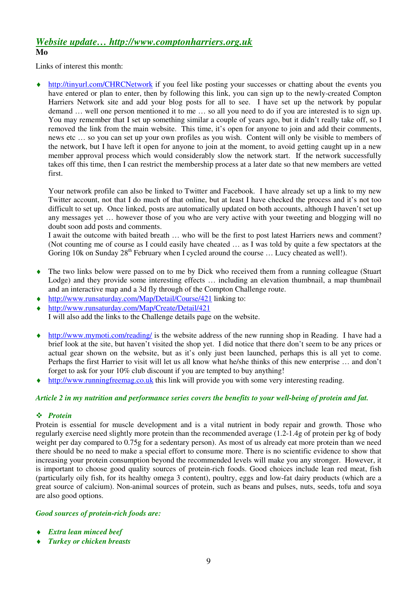### *Website update… http://www.comptonharriers.org.uk* **Mo**

Links of interest this month:

http://tinyurl.com/CHRCNetwork if you feel like posting your successes or chatting about the events you have entered or plan to enter, then by following this link, you can sign up to the newly-created Compton Harriers Network site and add your blog posts for all to see. I have set up the network by popular demand … well one person mentioned it to me … so all you need to do if you are interested is to sign up. You may remember that I set up something similar a couple of years ago, but it didn't really take off, so I removed the link from the main website. This time, it's open for anyone to join and add their comments, news etc … so you can set up your own profiles as you wish. Content will only be visible to members of the network, but I have left it open for anyone to join at the moment, to avoid getting caught up in a new member approval process which would considerably slow the network start. If the network successfully takes off this time, then I can restrict the membership process at a later date so that new members are vetted first.

Your network profile can also be linked to Twitter and Facebook. I have already set up a link to my new Twitter account, not that I do much of that online, but at least I have checked the process and it's not too difficult to set up. Once linked, posts are automatically updated on both accounts, although I haven't set up any messages yet … however those of you who are very active with your tweeting and blogging will no doubt soon add posts and comments.

I await the outcome with baited breath … who will be the first to post latest Harriers news and comment? (Not counting me of course as I could easily have cheated … as I was told by quite a few spectators at the Goring 10k on Sunday 28<sup>th</sup> February when I cycled around the course ... Lucy cheated as well!).

- ♦ The two links below were passed on to me by Dick who received them from a running colleague (Stuart Lodge) and they provide some interesting effects … including an elevation thumbnail, a map thumbnail and an interactive map and a 3d fly through of the Compton Challenge route.
- http://www.runsaturday.com/Map/Detail/Course/421 linking to:
- ♦ http://www.runsaturday.com/Map/Create/Detail/421 I will also add the links to the Challenge details page on the website.
- http://www.mymoti.com/reading/ is the website address of the new running shop in Reading. I have had a brief look at the site, but haven't visited the shop yet. I did notice that there don't seem to be any prices or actual gear shown on the website, but as it's only just been launched, perhaps this is all yet to come. Perhaps the first Harrier to visit will let us all know what he/she thinks of this new enterprise … and don't
- forget to ask for your 10% club discount if you are tempted to buy anything! http://www.runningfreemag.co.uk this link will provide you with some very interesting reading.

#### *Article 2 in my nutrition and performance series covers the benefits to your well-being of protein and fat.*

#### *Protein*

Protein is essential for muscle development and is a vital nutrient in body repair and growth. Those who regularly exercise need slightly more protein than the recommended average (1.2-1.4g of protein per kg of body weight per day compared to 0.75g for a sedentary person). As most of us already eat more protein than we need there should be no need to make a special effort to consume more. There is no scientific evidence to show that increasing your protein consumption beyond the recommended levels will make you any stronger. However, it is important to choose good quality sources of protein-rich foods. Good choices include lean red meat, fish (particularly oily fish, for its healthy omega 3 content), poultry, eggs and low-fat dairy products (which are a great source of calcium). Non-animal sources of protein, such as beans and pulses, nuts, seeds, tofu and soya are also good options.

#### *Good sources of protein-rich foods are:*

- *Extra lean minced beef*
- **Turkey or chicken breasts**